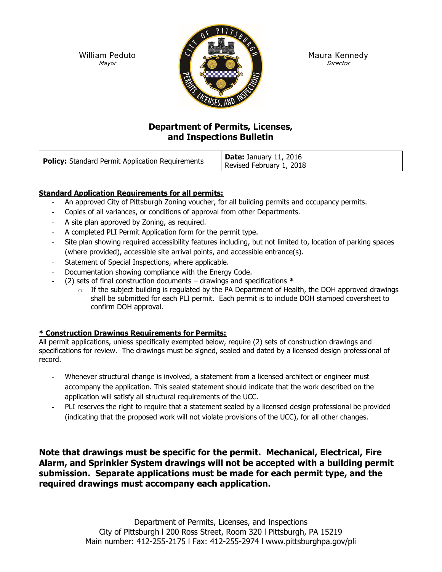William Peduto Mayor



Maura Kennedy Director

# Department of Permits, Licenses, and Inspections Bulletin

| <b>Policy:</b> Standard Permit Application Requirements | <b>Date:</b> January 11, 2016<br>Revised February 1, 2018 |
|---------------------------------------------------------|-----------------------------------------------------------|
|---------------------------------------------------------|-----------------------------------------------------------|

# Standard Application Requirements for all permits:

- An approved City of Pittsburgh Zoning voucher, for all building permits and occupancy permits.
- Copies of all variances, or conditions of approval from other Departments.
- A site plan approved by Zoning, as required.
- A completed PLI Permit Application form for the permit type.
- Site plan showing required accessibility features including, but not limited to, location of parking spaces (where provided), accessible site arrival points, and accessible entrance(s).
- Statement of Special Inspections, where applicable.
- Documentation showing compliance with the Energy Code.
- (2) sets of final construction documents drawings and specifications  $*$ 
	- $\circ$  If the subject building is regulated by the PA Department of Health, the DOH approved drawings shall be submitted for each PLI permit. Each permit is to include DOH stamped coversheet to confirm DOH approval.

# \* Construction Drawings Requirements for Permits:

All permit applications, unless specifically exempted below, require (2) sets of construction drawings and specifications for review. The drawings must be signed, sealed and dated by a licensed design professional of record.

- Whenever structural change is involved, a statement from a licensed architect or engineer must accompany the application. This sealed statement should indicate that the work described on the application will satisfy all structural requirements of the UCC.
- PLI reserves the right to require that a statement sealed by a licensed design professional be provided (indicating that the proposed work will not violate provisions of the UCC), for all other changes.

Note that drawings must be specific for the permit. Mechanical, Electrical, Fire Alarm, and Sprinkler System drawings will not be accepted with a building permit submission. Separate applications must be made for each permit type, and the required drawings must accompany each application.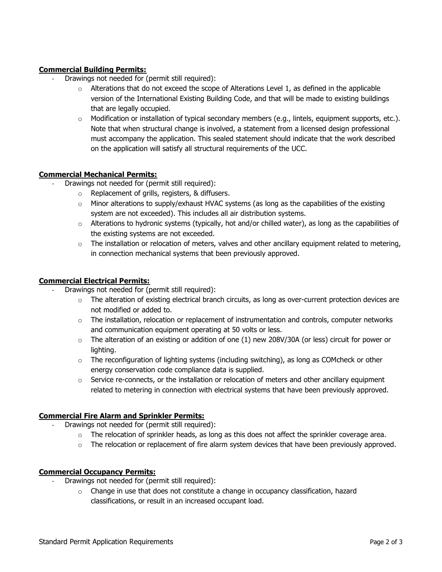# Commercial Building Permits:

- Drawings not needed for (permit still required):
	- $\circ$  Alterations that do not exceed the scope of Alterations Level 1, as defined in the applicable version of the International Existing Building Code, and that will be made to existing buildings that are legally occupied.
	- o Modification or installation of typical secondary members (e.g., lintels, equipment supports, etc.). Note that when structural change is involved, a statement from a licensed design professional must accompany the application. This sealed statement should indicate that the work described on the application will satisfy all structural requirements of the UCC.

### Commercial Mechanical Permits:

- Drawings not needed for (permit still required):
	- o Replacement of grills, registers, & diffusers.
	- $\circ$  Minor alterations to supply/exhaust HVAC systems (as long as the capabilities of the existing system are not exceeded). This includes all air distribution systems.
	- $\circ$  Alterations to hydronic systems (typically, hot and/or chilled water), as long as the capabilities of the existing systems are not exceeded.
	- $\circ$  The installation or relocation of meters, valves and other ancillary equipment related to metering, in connection mechanical systems that been previously approved.

#### Commercial Electrical Permits:

- Drawings not needed for (permit still required):
	- $\circ$  The alteration of existing electrical branch circuits, as long as over-current protection devices are not modified or added to.
	- $\circ$  The installation, relocation or replacement of instrumentation and controls, computer networks and communication equipment operating at 50 volts or less.
	- $\circ$  The alteration of an existing or addition of one (1) new 208V/30A (or less) circuit for power or lighting.
	- $\circ$  The reconfiguration of lighting systems (including switching), as long as COMcheck or other energy conservation code compliance data is supplied.
	- $\circ$  Service re-connects, or the installation or relocation of meters and other ancillary equipment related to metering in connection with electrical systems that have been previously approved.

#### Commercial Fire Alarm and Sprinkler Permits:

- Drawings not needed for (permit still required):
	- $\circ$  The relocation of sprinkler heads, as long as this does not affect the sprinkler coverage area.
	- $\circ$  The relocation or replacement of fire alarm system devices that have been previously approved.

#### Commercial Occupancy Permits:

- Drawings not needed for (permit still required):
	- $\circ$  Change in use that does not constitute a change in occupancy classification, hazard classifications, or result in an increased occupant load.